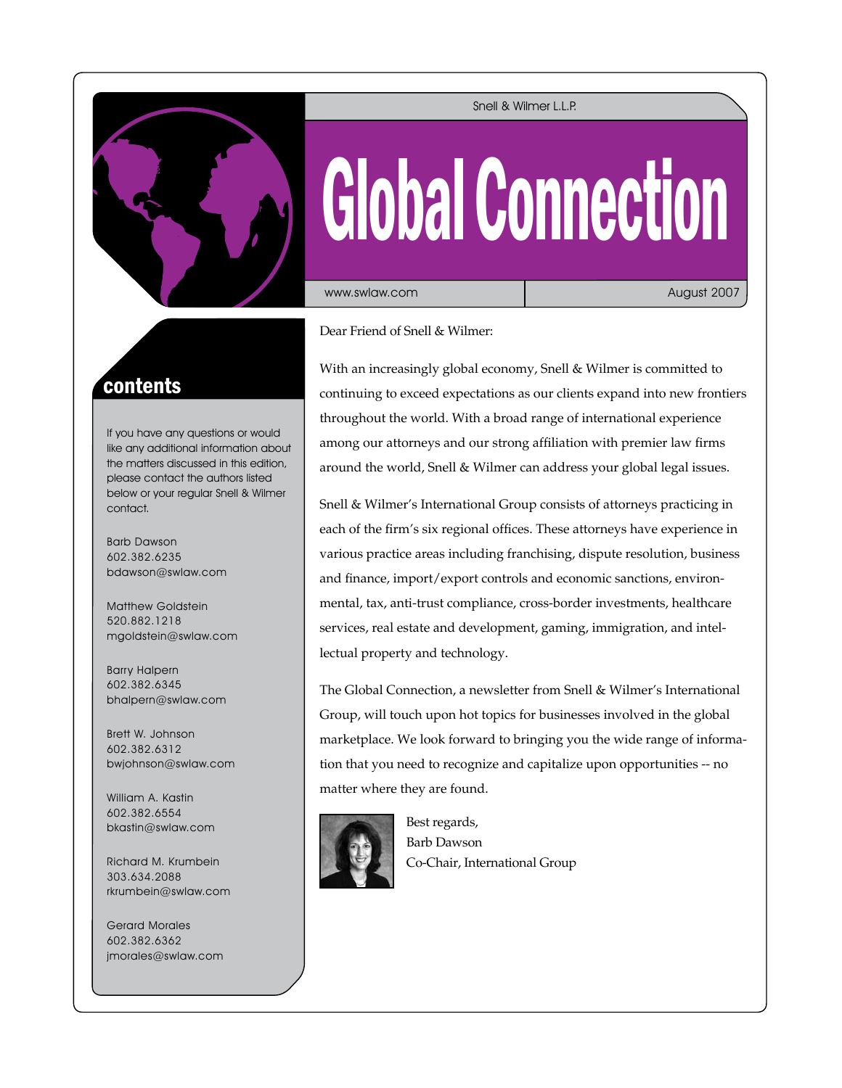

#### Snell & Wilmer L.L.P.

# Global Connection

www.swlaw.com

August 2007

Dear Friend of Snell & Wilmer:

With an increasingly global economy, Snell & Wilmer is committed to continuing to exceed expectations as our clients expand into new frontiers throughout the world. With a broad range of international experience among our attorneys and our strong affiliation with premier law firms around the world, Snell & Wilmer can address your global legal issues.

Snell & Wilmer's International Group consists of attorneys practicing in each of the firm's six regional offices. These attorneys have experience in various practice areas including franchising, dispute resolution, business and finance, import/export controls and economic sanctions, environmental, tax, anti-trust compliance, cross-border investments, healthcare services, real estate and development, gaming, immigration, and intellectual property and technology.

The Global Connection, a newsletter from Snell & Wilmer's International Group, will touch upon hot topics for businesses involved in the global marketplace. We look forward to bringing you the wide range of information that you need to recognize and capitalize upon opportunities -- no matter where they are found.



Best regards, Barb Dawson Co-Chair, International Group

## contents

If you have any questions or would like any additional information about the matters discussed in this edition, please contact the authors listed below or your regular Snell & Wilmer contact.

Barb Dawson 602.382.6235 bdawson@swlaw.com

Matthew Goldstein 520.882.1218 mgoldstein@swlaw.com

Barry Halpern 602.382.6345 bhalpern@swlaw.com

Brett W. Johnson 602.382.6312 bwjohnson@swlaw.com

William A. Kastin 602.382.6554 bkastin@swlaw.com

Richard M. Krumbein 303.634.2088 rkrumbein@swlaw.com

Gerard Morales 602.382.6362 jmorales@swlaw.com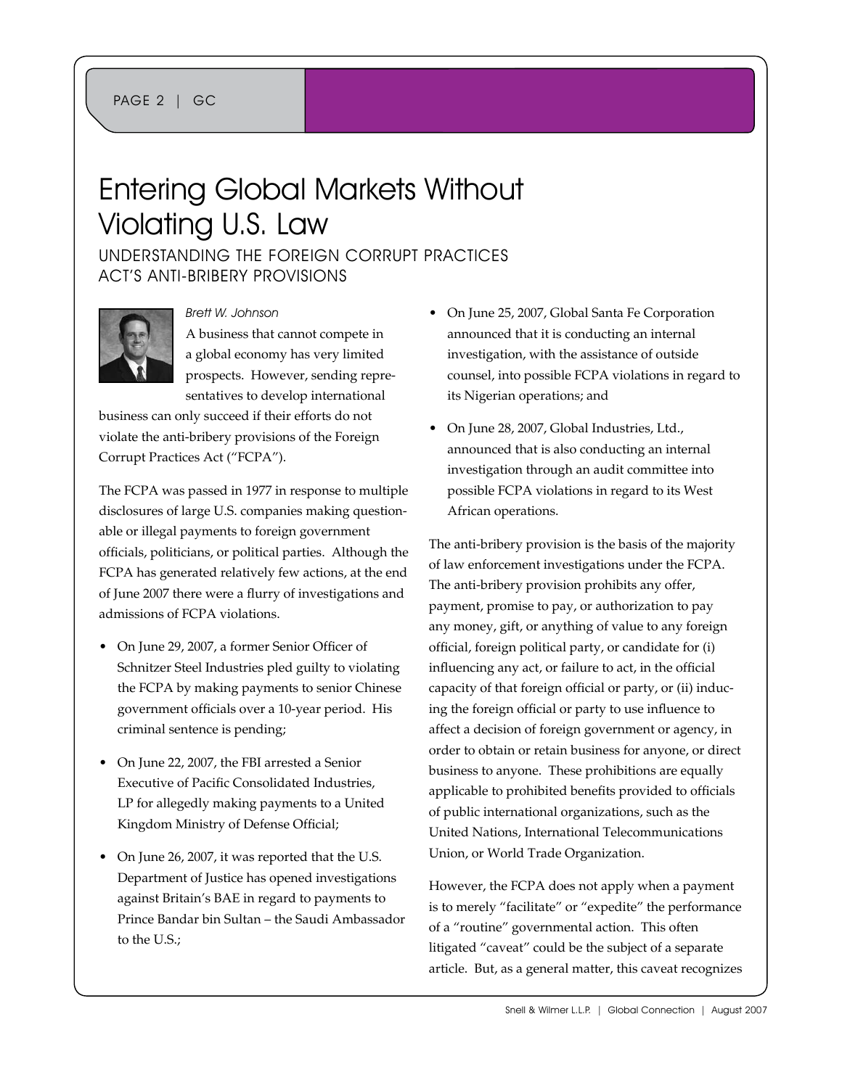## Entering Global Markets Without Violating U.S. Law

Understanding the Foreign Corrupt Practices Act's Anti-Bribery Provisions



Brett W. Johnson

A business that cannot compete in a global economy has very limited prospects. However, sending representatives to develop international

business can only succeed if their efforts do not violate the anti-bribery provisions of the Foreign Corrupt Practices Act ("FCPA").

The FCPA was passed in 1977 in response to multiple disclosures of large U.S. companies making questionable or illegal payments to foreign government officials, politicians, or political parties. Although the FCPA has generated relatively few actions, at the end of June 2007 there were a flurry of investigations and admissions of FCPA violations.

- On June 29, 2007, a former Senior Officer of Schnitzer Steel Industries pled guilty to violating the FCPA by making payments to senior Chinese government officials over a 10-year period. His criminal sentence is pending;
- On June 22, 2007, the FBI arrested a Senior Executive of Pacific Consolidated Industries, LP for allegedly making payments to a United Kingdom Ministry of Defense Official;
- On June 26, 2007, it was reported that the U.S. Department of Justice has opened investigations against Britain's BAE in regard to payments to Prince Bandar bin Sultan – the Saudi Ambassador to the U.S.;
- On June 25, 2007, Global Santa Fe Corporation announced that it is conducting an internal investigation, with the assistance of outside counsel, into possible FCPA violations in regard to its Nigerian operations; and
- On June 28, 2007, Global Industries, Ltd., announced that is also conducting an internal investigation through an audit committee into possible FCPA violations in regard to its West African operations.

The anti-bribery provision is the basis of the majority of law enforcement investigations under the FCPA. The anti-bribery provision prohibits any offer, payment, promise to pay, or authorization to pay any money, gift, or anything of value to any foreign official, foreign political party, or candidate for (i) influencing any act, or failure to act, in the official capacity of that foreign official or party, or (ii) inducing the foreign official or party to use influence to affect a decision of foreign government or agency, in order to obtain or retain business for anyone, or direct business to anyone. These prohibitions are equally applicable to prohibited benefits provided to officials of public international organizations, such as the United Nations, International Telecommunications Union, or World Trade Organization.

However, the FCPA does not apply when a payment is to merely "facilitate" or "expedite" the performance of a "routine" governmental action. This often litigated "caveat" could be the subject of a separate article. But, as a general matter, this caveat recognizes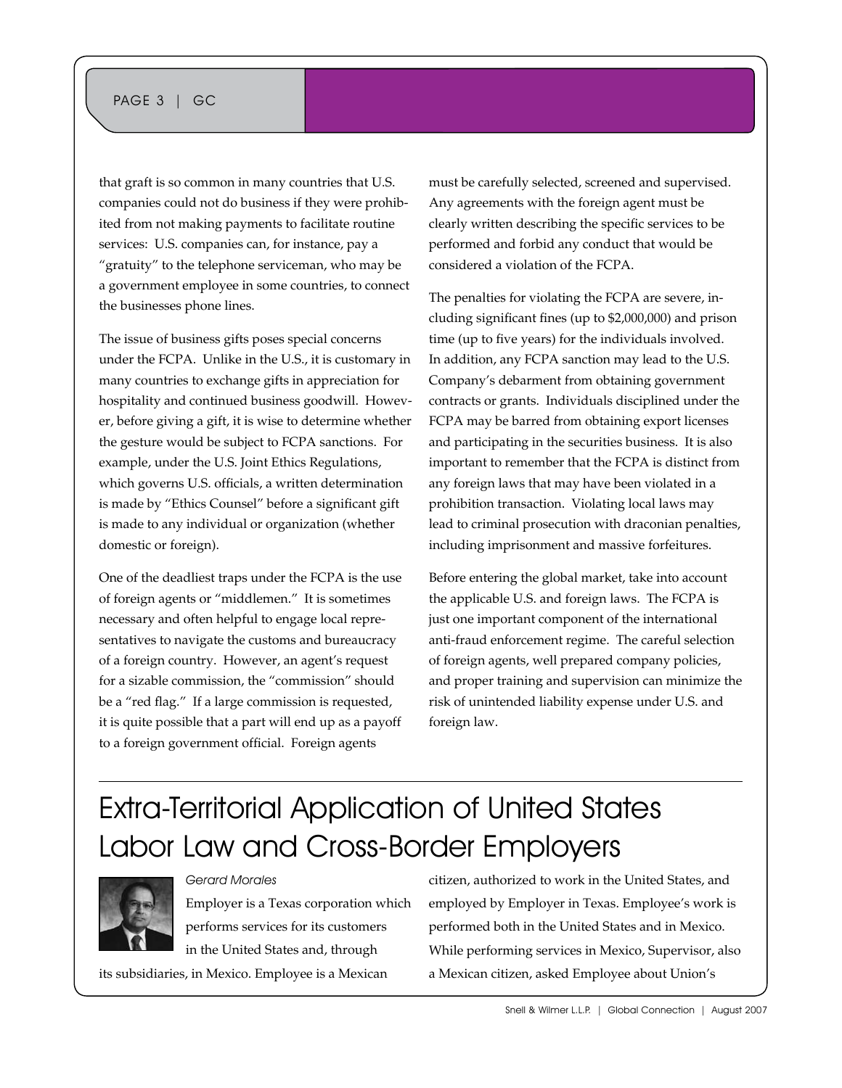## PAGE 3 | GC

that graft is so common in many countries that U.S. companies could not do business if they were prohibited from not making payments to facilitate routine services: U.S. companies can, for instance, pay a "gratuity" to the telephone serviceman, who may be a government employee in some countries, to connect the businesses phone lines.

The issue of business gifts poses special concerns under the FCPA. Unlike in the U.S., it is customary in many countries to exchange gifts in appreciation for hospitality and continued business goodwill. However, before giving a gift, it is wise to determine whether the gesture would be subject to FCPA sanctions. For example, under the U.S. Joint Ethics Regulations, which governs U.S. officials, a written determination is made by "Ethics Counsel" before a significant gift is made to any individual or organization (whether domestic or foreign).

One of the deadliest traps under the FCPA is the use of foreign agents or "middlemen." It is sometimes necessary and often helpful to engage local representatives to navigate the customs and bureaucracy of a foreign country. However, an agent's request for a sizable commission, the "commission" should be a "red flag." If a large commission is requested, it is quite possible that a part will end up as a payoff to a foreign government official. Foreign agents

must be carefully selected, screened and supervised. Any agreements with the foreign agent must be clearly written describing the specific services to be performed and forbid any conduct that would be considered a violation of the FCPA.

The penalties for violating the FCPA are severe, including significant fines (up to \$2,000,000) and prison time (up to five years) for the individuals involved. In addition, any FCPA sanction may lead to the U.S. Company's debarment from obtaining government contracts or grants. Individuals disciplined under the FCPA may be barred from obtaining export licenses and participating in the securities business. It is also important to remember that the FCPA is distinct from any foreign laws that may have been violated in a prohibition transaction. Violating local laws may lead to criminal prosecution with draconian penalties, including imprisonment and massive forfeitures.

Before entering the global market, take into account the applicable U.S. and foreign laws. The FCPA is just one important component of the international anti-fraud enforcement regime. The careful selection of foreign agents, well prepared company policies, and proper training and supervision can minimize the risk of unintended liability expense under U.S. and foreign law.

# Extra-Territorial Application of United States Labor Law and Cross-Border Employers



Employer is a Texas corporation which performs services for its customers in the United States and, through

its subsidiaries, in Mexico. Employee is a Mexican

Gerard Morales

citizen, authorized to work in the United States, and employed by Employer in Texas. Employee's work is performed both in the United States and in Mexico. While performing services in Mexico, Supervisor, also a Mexican citizen, asked Employee about Union's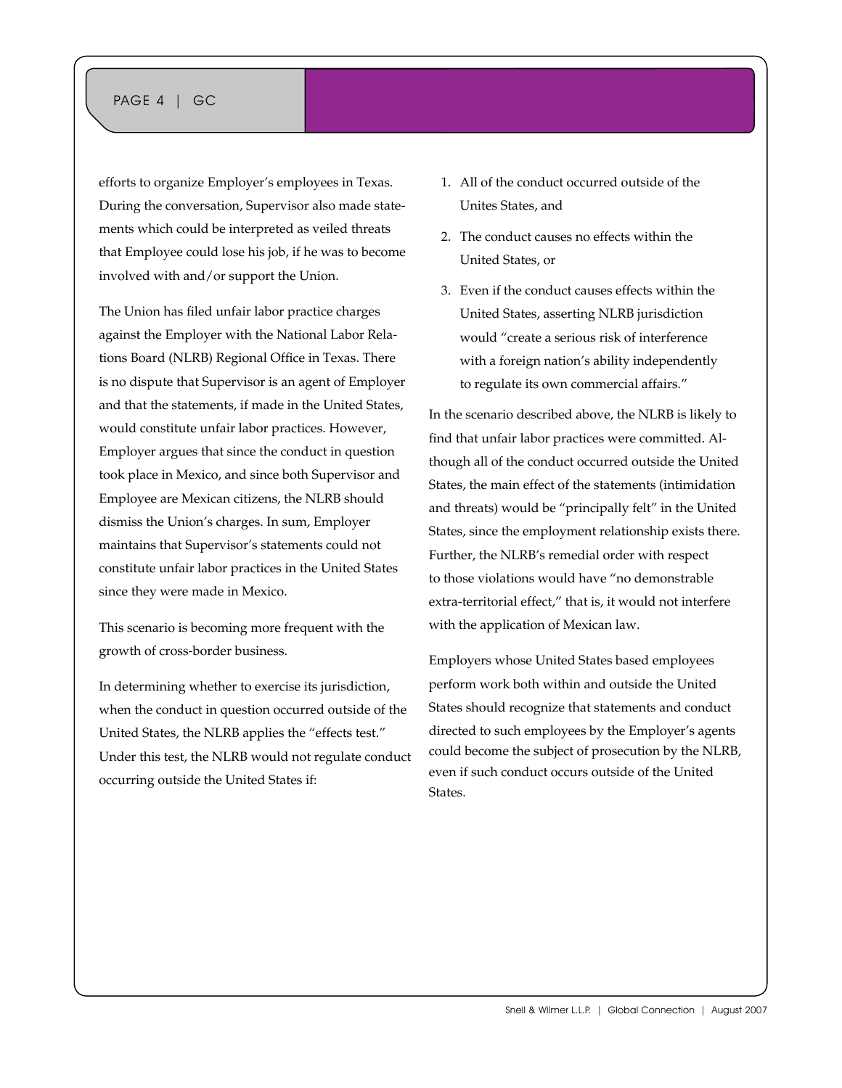## PAGE 4 | GC

efforts to organize Employer's employees in Texas. During the conversation, Supervisor also made statements which could be interpreted as veiled threats that Employee could lose his job, if he was to become involved with and/or support the Union.

The Union has filed unfair labor practice charges against the Employer with the National Labor Relations Board (NLRB) Regional Office in Texas. There is no dispute that Supervisor is an agent of Employer and that the statements, if made in the United States, would constitute unfair labor practices. However, Employer argues that since the conduct in question took place in Mexico, and since both Supervisor and Employee are Mexican citizens, the NLRB should dismiss the Union's charges. In sum, Employer maintains that Supervisor's statements could not constitute unfair labor practices in the United States since they were made in Mexico.

This scenario is becoming more frequent with the growth of cross-border business.

In determining whether to exercise its jurisdiction, when the conduct in question occurred outside of the United States, the NLRB applies the "effects test." Under this test, the NLRB would not regulate conduct occurring outside the United States if:

- 1. All of the conduct occurred outside of the Unites States, and
- 2. The conduct causes no effects within the United States, or
- 3. Even if the conduct causes effects within the United States, asserting NLRB jurisdiction would "create a serious risk of interference with a foreign nation's ability independently to regulate its own commercial affairs."

In the scenario described above, the NLRB is likely to find that unfair labor practices were committed. Although all of the conduct occurred outside the United States, the main effect of the statements (intimidation and threats) would be "principally felt" in the United States, since the employment relationship exists there. Further, the NLRB's remedial order with respect to those violations would have "no demonstrable extra-territorial effect," that is, it would not interfere with the application of Mexican law.

Employers whose United States based employees perform work both within and outside the United States should recognize that statements and conduct directed to such employees by the Employer's agents could become the subject of prosecution by the NLRB, even if such conduct occurs outside of the United **States**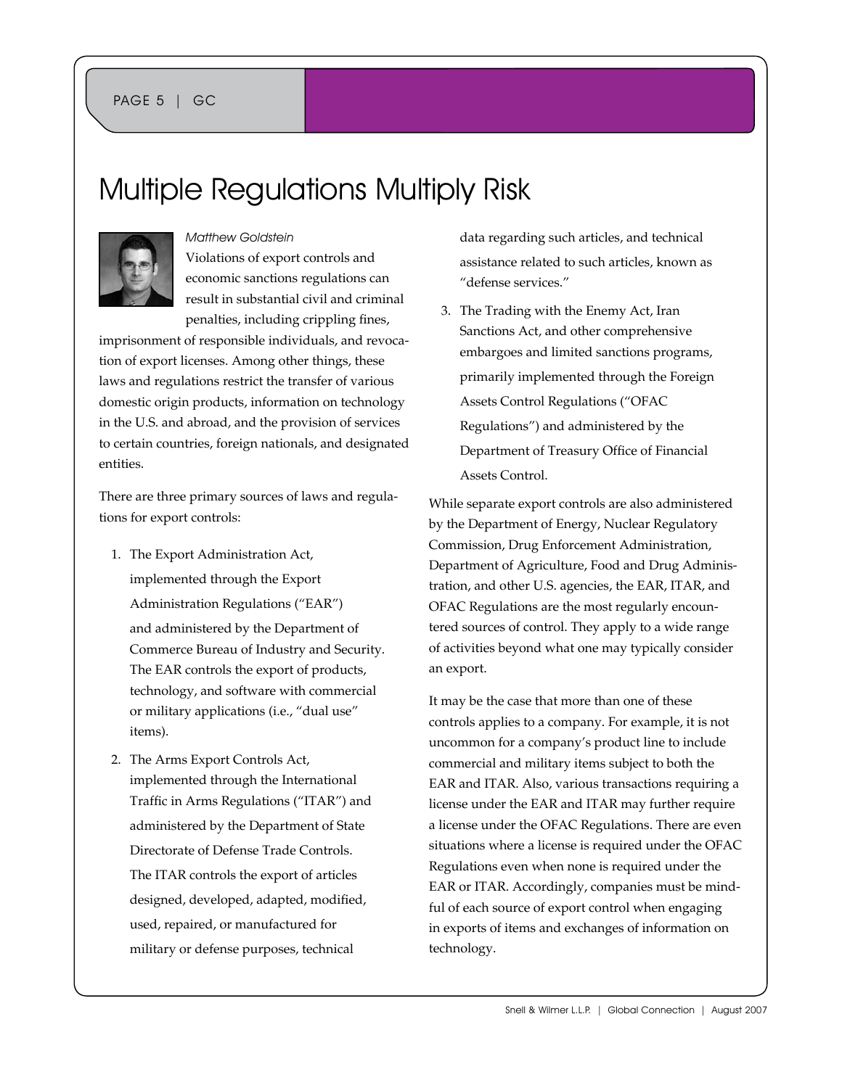## PAGE 5 | GC

## Multiple Regulations Multiply Risk



#### Matthew Goldstein

Violations of export controls and economic sanctions regulations can result in substantial civil and criminal penalties, including crippling fines,

imprisonment of responsible individuals, and revocation of export licenses. Among other things, these laws and regulations restrict the transfer of various domestic origin products, information on technology in the U.S. and abroad, and the provision of services to certain countries, foreign nationals, and designated entities.

There are three primary sources of laws and regulations for export controls:

- 1. The Export Administration Act, implemented through the Export Administration Regulations ("EAR") and administered by the Department of Commerce Bureau of Industry and Security. The EAR controls the export of products, technology, and software with commercial or military applications (i.e., "dual use" items).
- 2. The Arms Export Controls Act, implemented through the International Traffic in Arms Regulations ("ITAR") and administered by the Department of State Directorate of Defense Trade Controls. The ITAR controls the export of articles designed, developed, adapted, modified, used, repaired, or manufactured for military or defense purposes, technical

data regarding such articles, and technical assistance related to such articles, known as "defense services."

3. The Trading with the Enemy Act, Iran Sanctions Act, and other comprehensive embargoes and limited sanctions programs, primarily implemented through the Foreign Assets Control Regulations ("OFAC Regulations") and administered by the Department of Treasury Office of Financial Assets Control.

While separate export controls are also administered by the Department of Energy, Nuclear Regulatory Commission, Drug Enforcement Administration, Department of Agriculture, Food and Drug Administration, and other U.S. agencies, the EAR, ITAR, and OFAC Regulations are the most regularly encountered sources of control. They apply to a wide range of activities beyond what one may typically consider an export.

It may be the case that more than one of these controls applies to a company. For example, it is not uncommon for a company's product line to include commercial and military items subject to both the EAR and ITAR. Also, various transactions requiring a license under the EAR and ITAR may further require a license under the OFAC Regulations. There are even situations where a license is required under the OFAC Regulations even when none is required under the EAR or ITAR. Accordingly, companies must be mindful of each source of export control when engaging in exports of items and exchanges of information on technology.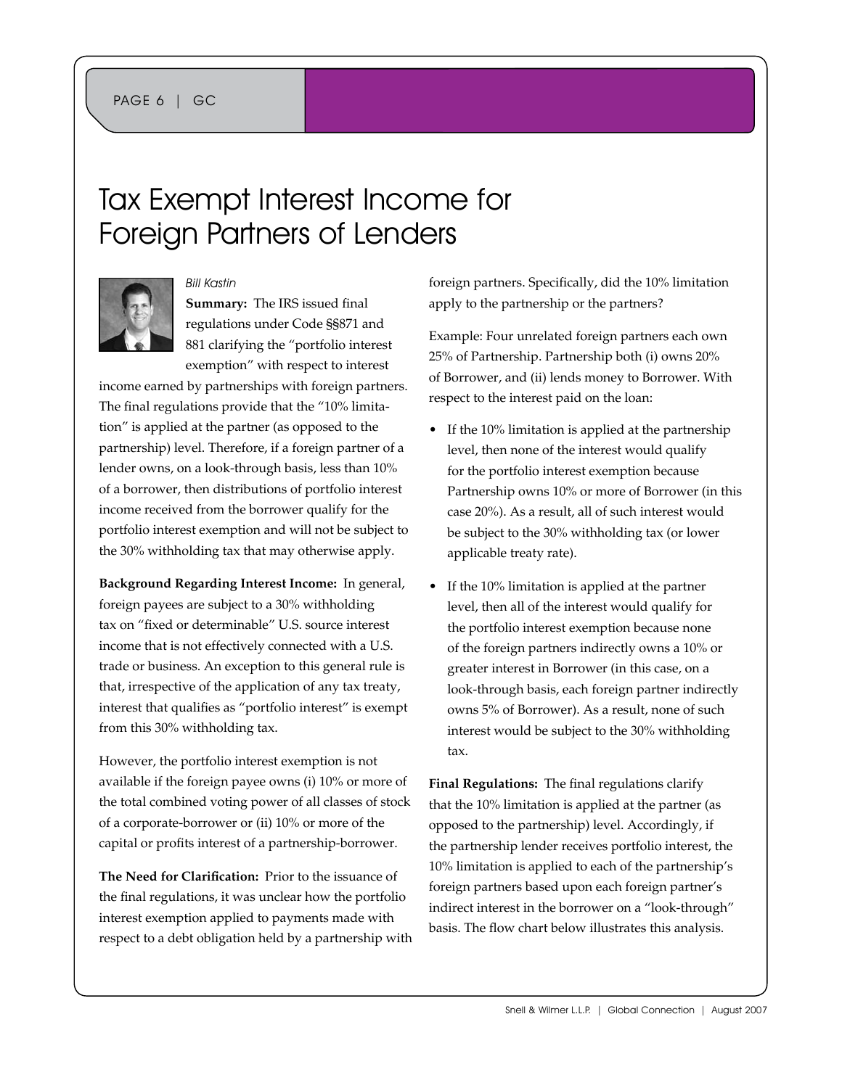## Tax Exempt Interest Income for Foreign Partners of Lenders



Bill Kastin

**Summary:** The IRS issued final regulations under Code §§871 and 881 clarifying the "portfolio interest exemption" with respect to interest

income earned by partnerships with foreign partners. The final regulations provide that the "10% limitation" is applied at the partner (as opposed to the partnership) level. Therefore, if a foreign partner of a lender owns, on a look-through basis, less than 10% of a borrower, then distributions of portfolio interest income received from the borrower qualify for the portfolio interest exemption and will not be subject to the 30% withholding tax that may otherwise apply.

**Background Regarding Interest Income:** In general, foreign payees are subject to a 30% withholding tax on "fixed or determinable" U.S. source interest income that is not effectively connected with a U.S. trade or business. An exception to this general rule is that, irrespective of the application of any tax treaty, interest that qualifies as "portfolio interest" is exempt from this 30% withholding tax.

However, the portfolio interest exemption is not available if the foreign payee owns (i) 10% or more of the total combined voting power of all classes of stock of a corporate-borrower or (ii) 10% or more of the capital or profits interest of a partnership-borrower.

**The Need for Clarification:** Prior to the issuance of the final regulations, it was unclear how the portfolio interest exemption applied to payments made with respect to a debt obligation held by a partnership with foreign partners. Specifically, did the 10% limitation apply to the partnership or the partners?

Example: Four unrelated foreign partners each own 25% of Partnership. Partnership both (i) owns 20% of Borrower, and (ii) lends money to Borrower. With respect to the interest paid on the loan:

- If the 10% limitation is applied at the partnership level, then none of the interest would qualify for the portfolio interest exemption because Partnership owns 10% or more of Borrower (in this case 20%). As a result, all of such interest would be subject to the 30% withholding tax (or lower applicable treaty rate).
- If the 10% limitation is applied at the partner level, then all of the interest would qualify for the portfolio interest exemption because none of the foreign partners indirectly owns a 10% or greater interest in Borrower (in this case, on a look-through basis, each foreign partner indirectly owns 5% of Borrower). As a result, none of such interest would be subject to the 30% withholding tax.

**Final Regulations:** The final regulations clarify that the 10% limitation is applied at the partner (as opposed to the partnership) level. Accordingly, if the partnership lender receives portfolio interest, the 10% limitation is applied to each of the partnership's foreign partners based upon each foreign partner's indirect interest in the borrower on a "look-through" basis. The flow chart below illustrates this analysis.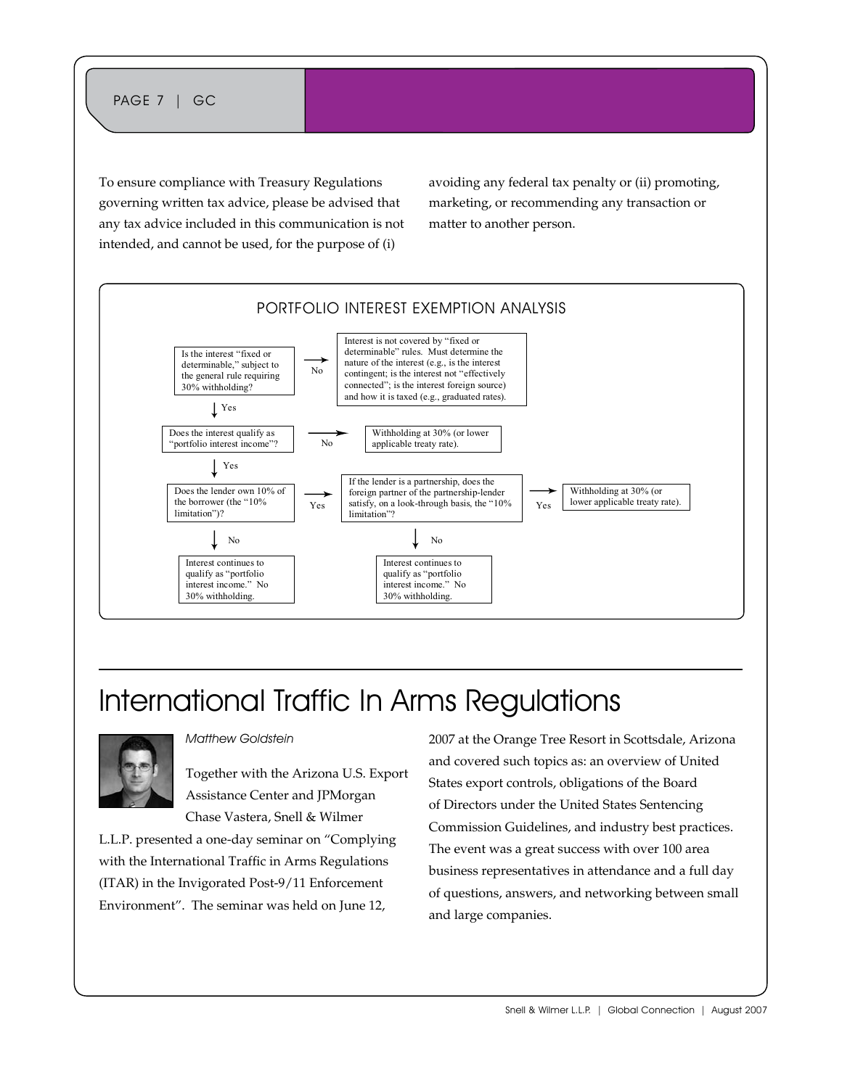To ensure compliance with Treasury Regulations governing written tax advice, please be advised that any tax advice included in this communication is not intended, and cannot be used, for the purpose of (i)

avoiding any federal tax penalty or (ii) promoting, marketing, or recommending any transaction or matter to another person.



# International Traffic In Arms Regulations



#### Matthew Goldstein

Together with the Arizona U.S. Export Assistance Center and JPMorgan Chase Vastera, Snell & Wilmer

L.L.P. presented a one-day seminar on "Complying with the International Traffic in Arms Regulations (ITAR) in the Invigorated Post-9/11 Enforcement Environment". The seminar was held on June 12,

2007 at the Orange Tree Resort in Scottsdale, Arizona and covered such topics as: an overview of United States export controls, obligations of the Board of Directors under the United States Sentencing Commission Guidelines, and industry best practices. The event was a great success with over 100 area business representatives in attendance and a full day of questions, answers, and networking between small and large companies.